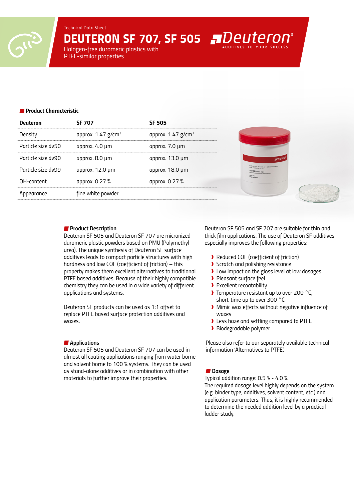*Technical Data Sheet*

*DEUTERON SF 707, SF 505* 

*Halogen-free duromeric plastics with PTFE-similar properties*

#### *Product Characteristic*

| <b>Deuteron</b>    | <b>SF 707</b>                    | <b>SF 505</b>                    |
|--------------------|----------------------------------|----------------------------------|
| Density            | approx. $1.47$ g/cm <sup>3</sup> | approx. $1.47$ g/cm <sup>3</sup> |
| Particle size dv50 | approx. 4.0 µm                   | approx. 7.0 µm                   |
| Particle size dv90 | approx. 8.0 µm                   | approx. $13.0 \mu m$             |
| Particle size dv99 | approx. $12.0 \mu m$             | approx. 18.0 µm                  |
| OH-content         | approx. 0.27 %                   | approx. 0.27 %                   |
| Appearance         | fine white powder                |                                  |

#### *Product Description*

*Deuteron SF 505 and Deuteron SF 707 are micronized duromeric plastic powders based on PMU (Polymethyl urea). The unique synthesis of Deuteron SF surface additives leads to compact particle structures with high hardness and low COF (coefficient of friction) – this property makes them excellent alternatives to traditional PTFE based additives. Because of their highly compatible chemistry they can be used in a wide variety of different applications and systems.* 

*Deuteron SF products can be used as 1:1 offset to replace PTFE based surface protection additives and waxes.* 

## *Applications*

*Deuteron SF 505 and Deuteron SF 707 can be used in almost all coating applications ranging from water borne and solvent borne to 100 % systems. They can be used as stand-alone additives or in combination with other materials to further improve their properties.* 

*Deuteron SF 505 and SF 707 are suitable for thin and thick film applications. The use of Deuteron SF additives especially improves the following properties:*

- ❱ *Reduced COF (coefficient of friction)*
- ❱ *Scratch and polishing resistance*
- ❱ *Low impact on the gloss level at low dosages*
- ❱ *Pleasant surface feel*
- ❱ *Excellent recoatability*
- ❱ *Temperature resistant up to over 200 °C, short-time up to over 300 °C*
- ❱ *Mimic wax effects without negative influence of waxes*
- ❱ *Less haze and settling compared to PTFE*
- ❱ *Biodegradable polymer*

*Please also refer to our separately available technical information 'Alternatives to PTFE'.*

## ■ Dosage

*Typical addition range: 0.5 % - 4.0 % The required dosage level highly depends on the system (e.g. binder type, additives, solvent content, etc.) and application parameters. Thus, it is highly recommended to determine the needed addition level by a practical ladder study.*